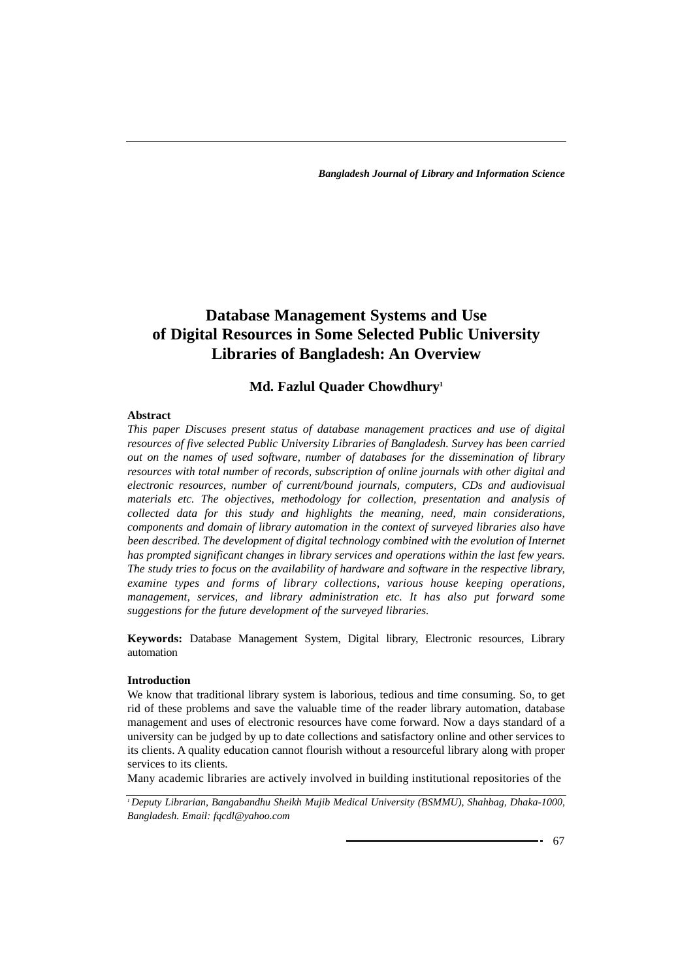# **Database Management Systems and Use of Digital Resources in Some Selected Public University Libraries of Bangladesh: An Overview**

# **Md. Fazlul Quader Chowdhury1**

# **Abstract**

*This paper Discuses present status of database management practices and use of digital resources of five selected Public University Libraries of Bangladesh. Survey has been carried out on the names of used software, number of databases for the dissemination of library resources with total number of records, subscription of online journals with other digital and electronic resources, number of current/bound journals, computers, CDs and audiovisual materials etc. The objectives, methodology for collection, presentation and analysis of collected data for this study and highlights the meaning, need, main considerations, components and domain of library automation in the context of surveyed libraries also have been described. The development of digital technology combined with the evolution of Internet has prompted significant changes in library services and operations within the last few years. The study tries to focus on the availability of hardware and software in the respective library, examine types and forms of library collections, various house keeping operations, management, services, and library administration etc. It has also put forward some suggestions for the future development of the surveyed libraries.* 

**Keywords:** Database Management System, Digital library, Electronic resources, Library automation

### **Introduction**

We know that traditional library system is laborious, tedious and time consuming. So, to get rid of these problems and save the valuable time of the reader library automation, database management and uses of electronic resources have come forward. Now a days standard of a university can be judged by up to date collections and satisfactory online and other services to its clients. A quality education cannot flourish without a resourceful library along with proper services to its clients.

Many academic libraries are actively involved in building institutional repositories of the

*<sup>1</sup> Deputy Librarian, Bangabandhu Sheikh Mujib Medical University (BSMMU), Shahbag, Dhaka-1000, Bangladesh. Email: fqcdl@yahoo.com*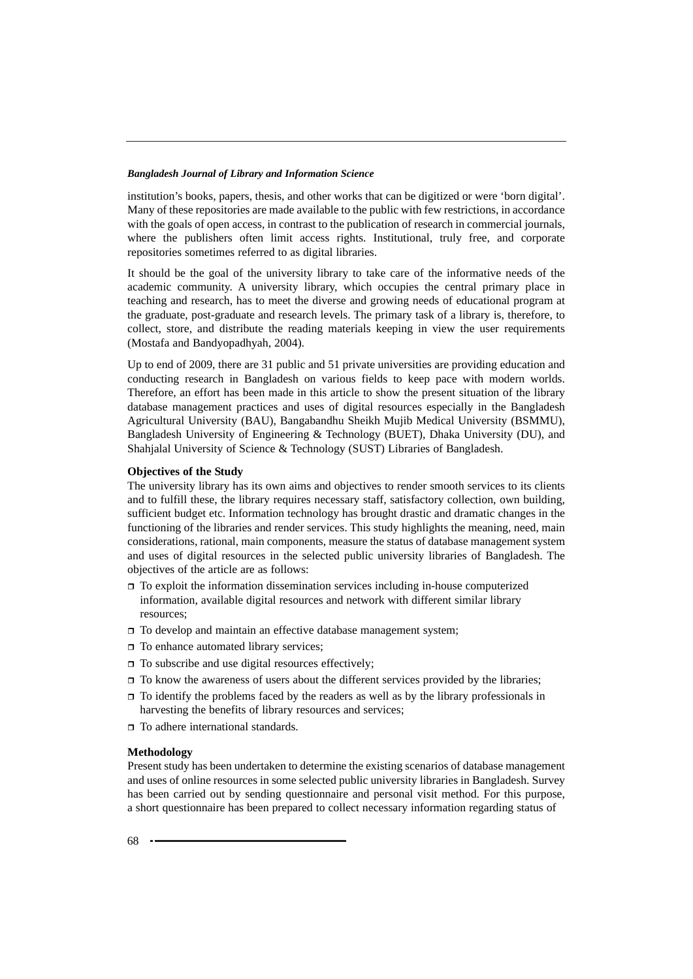institution's books, papers, thesis, and other works that can be digitized or were 'born digital'. Many of these repositories are made available to the public with few restrictions, in accordance with the goals of open access, in contrast to the publication of research in commercial journals, where the publishers often limit access rights. Institutional, truly free, and corporate repositories sometimes referred to as digital libraries.

It should be the goal of the university library to take care of the informative needs of the academic community. A university library, which occupies the central primary place in teaching and research, has to meet the diverse and growing needs of educational program at the graduate, post-graduate and research levels. The primary task of a library is, therefore, to collect, store, and distribute the reading materials keeping in view the user requirements (Mostafa and Bandyopadhyah, 2004).

Up to end of 2009, there are 31 public and 51 private universities are providing education and conducting research in Bangladesh on various fields to keep pace with modern worlds. Therefore, an effort has been made in this article to show the present situation of the library database management practices and uses of digital resources especially in the Bangladesh Agricultural University (BAU), Bangabandhu Sheikh Mujib Medical University (BSMMU), Bangladesh University of Engineering & Technology (BUET), Dhaka University (DU), and Shahjalal University of Science & Technology (SUST) Libraries of Bangladesh.

#### **Objectives of the Study**

The university library has its own aims and objectives to render smooth services to its clients and to fulfill these, the library requires necessary staff, satisfactory collection, own building, sufficient budget etc. Information technology has brought drastic and dramatic changes in the functioning of the libraries and render services. This study highlights the meaning, need, main considerations, rational, main components, measure the status of database management system and uses of digital resources in the selected public university libraries of Bangladesh. The objectives of the article are as follows:

- $\Box$  To exploit the information dissemination services including in-house computerized information, available digital resources and network with different similar library resources;
- $\Box$  To develop and maintain an effective database management system;
- □ To enhance automated library services;
- $\Box$  To subscribe and use digital resources effectively;
- $\Box$  To know the awareness of users about the different services provided by the libraries;
- $\Box$  To identify the problems faced by the readers as well as by the library professionals in harvesting the benefits of library resources and services;
- □ To adhere international standards.

#### **Methodology**

Present study has been undertaken to determine the existing scenarios of database management and uses of online resources in some selected public university libraries in Bangladesh. Survey has been carried out by sending questionnaire and personal visit method. For this purpose, a short questionnaire has been prepared to collect necessary information regarding status of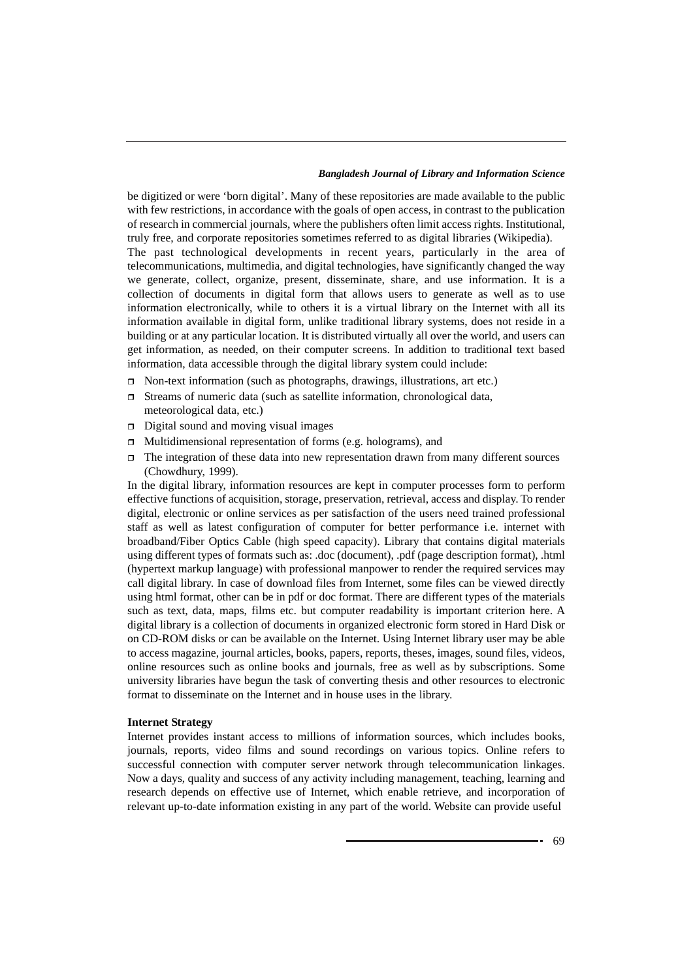be digitized or were 'born digital'. Many of these repositories are made available to the public with few restrictions, in accordance with the goals of open access, in contrast to the publication of research in commercial journals, where the publishers often limit access rights. Institutional, truly free, and corporate repositories sometimes referred to as digital libraries (Wikipedia). The past technological developments in recent years, particularly in the area of telecommunications, multimedia, and digital technologies, have significantly changed the way we generate, collect, organize, present, disseminate, share, and use information. It is a collection of documents in digital form that allows users to generate as well as to use information electronically, while to others it is a virtual library on the Internet with all its information available in digital form, unlike traditional library systems, does not reside in a building or at any particular location. It is distributed virtually all over the world, and users can get information, as needed, on their computer screens. In addition to traditional text based information, data accessible through the digital library system could include:

- $\Box$  Non-text information (such as photographs, drawings, illustrations, art etc.)
- $\Box$  Streams of numeric data (such as satellite information, chronological data, meteorological data, etc.)
- $\Box$  Digital sound and moving visual images
- $\Box$  Multidimensional representation of forms (e.g. holograms), and
- $\Box$  The integration of these data into new representation drawn from many different sources (Chowdhury, 1999).

In the digital library, information resources are kept in computer processes form to perform effective functions of acquisition, storage, preservation, retrieval, access and display. To render digital, electronic or online services as per satisfaction of the users need trained professional staff as well as latest configuration of computer for better performance i.e. internet with broadband/Fiber Optics Cable (high speed capacity). Library that contains digital materials using different types of formats such as: .doc (document), .pdf (page description format), .html (hypertext markup language) with professional manpower to render the required services may call digital library. In case of download files from Internet, some files can be viewed directly using html format, other can be in pdf or doc format. There are different types of the materials such as text, data, maps, films etc. but computer readability is important criterion here. A digital library is a collection of documents in organized electronic form stored in Hard Disk or on CD-ROM disks or can be available on the Internet. Using Internet library user may be able to access magazine, journal articles, books, papers, reports, theses, images, sound files, videos, online resources such as online books and journals, free as well as by subscriptions. Some university libraries have begun the task of converting thesis and other resources to electronic format to disseminate on the Internet and in house uses in the library.

#### **Internet Strategy**

Internet provides instant access to millions of information sources, which includes books, journals, reports, video films and sound recordings on various topics. Online refers to successful connection with computer server network through telecommunication linkages. Now a days, quality and success of any activity including management, teaching, learning and research depends on effective use of Internet, which enable retrieve, and incorporation of relevant up-to-date information existing in any part of the world. Website can provide useful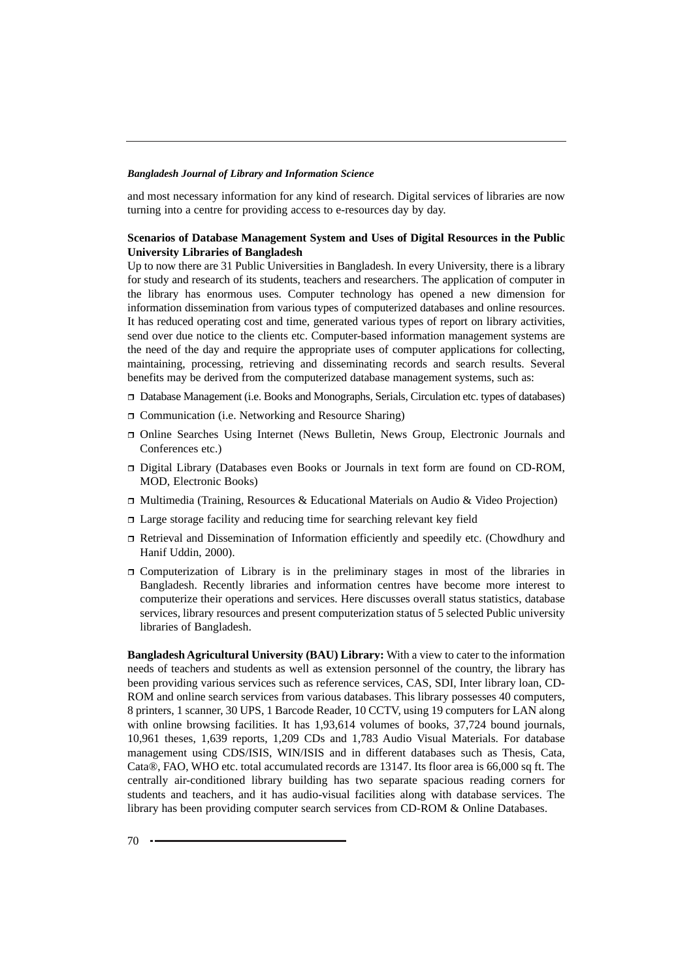and most necessary information for any kind of research. Digital services of libraries are now turning into a centre for providing access to e-resources day by day.

### **Scenarios of Database Management System and Uses of Digital Resources in the Public University Libraries of Bangladesh**

Up to now there are 31 Public Universities in Bangladesh. In every University, there is a library for study and research of its students, teachers and researchers. The application of computer in the library has enormous uses. Computer technology has opened a new dimension for information dissemination from various types of computerized databases and online resources. It has reduced operating cost and time, generated various types of report on library activities, send over due notice to the clients etc. Computer-based information management systems are the need of the day and require the appropriate uses of computer applications for collecting, maintaining, processing, retrieving and disseminating records and search results. Several benefits may be derived from the computerized database management systems, such as:

- Database Management (i.e. Books and Monographs, Serials, Circulation etc. types of databases)
- □ Communication (i.e. Networking and Resource Sharing)
- Online Searches Using Internet (News Bulletin, News Group, Electronic Journals and Conferences etc.)
- Digital Library (Databases even Books or Journals in text form are found on CD-ROM, MOD, Electronic Books)
- $\Box$  Multimedia (Training, Resources & Educational Materials on Audio & Video Projection)
- Large storage facility and reducing time for searching relevant key field
- Retrieval and Dissemination of Information efficiently and speedily etc. (Chowdhury and Hanif Uddin, 2000).
- Computerization of Library is in the preliminary stages in most of the libraries in Bangladesh. Recently libraries and information centres have become more interest to computerize their operations and services. Here discusses overall status statistics, database services, library resources and present computerization status of 5 selected Public university libraries of Bangladesh.

**Bangladesh Agricultural University (BAU) Library:** With a view to cater to the information needs of teachers and students as well as extension personnel of the country, the library has been providing various services such as reference services, CAS, SDI, Inter library loan, CD-ROM and online search services from various databases. This library possesses 40 computers, 8 printers, 1 scanner, 30 UPS, 1 Barcode Reader, 10 CCTV, using 19 computers for LAN along with online browsing facilities. It has 1,93,614 volumes of books, 37,724 bound journals, 10,961 theses, 1,639 reports, 1,209 CDs and 1,783 Audio Visual Materials. For database management using CDS/ISIS, WIN/ISIS and in different databases such as Thesis, Cata, Cata®, FAO, WHO etc. total accumulated records are 13147. Its floor area is 66,000 sq ft. The centrally air-conditioned library building has two separate spacious reading corners for students and teachers, and it has audio-visual facilities along with database services. The library has been providing computer search services from CD-ROM & Online Databases.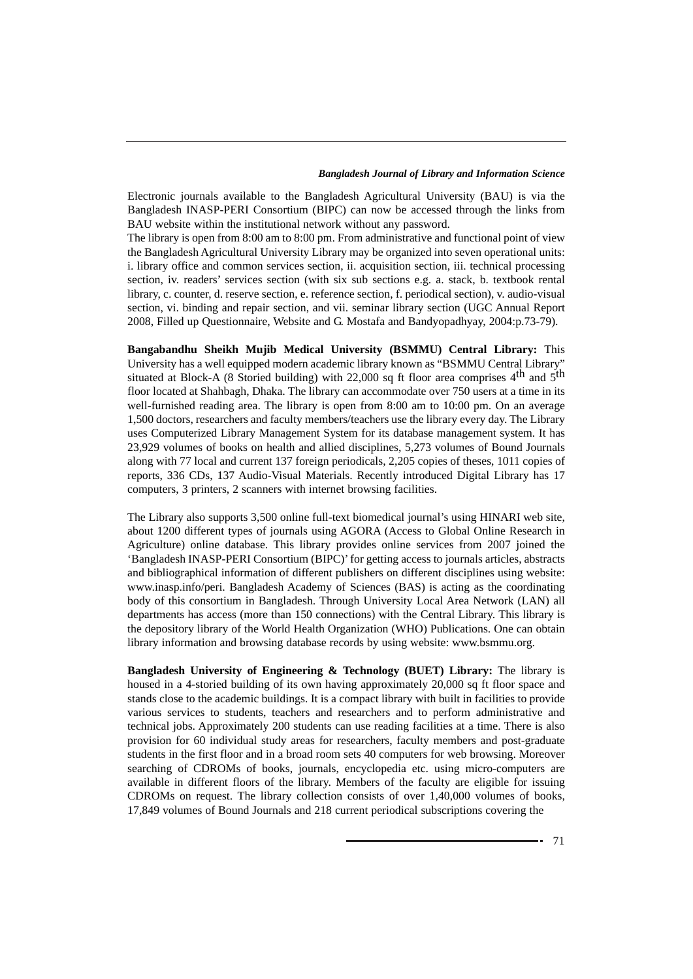Electronic journals available to the Bangladesh Agricultural University (BAU) is via the Bangladesh INASP-PERI Consortium (BIPC) can now be accessed through the links from BAU website within the institutional network without any password.

The library is open from 8:00 am to 8:00 pm. From administrative and functional point of view the Bangladesh Agricultural University Library may be organized into seven operational units: i. library office and common services section, ii. acquisition section, iii. technical processing section, iv. readers' services section (with six sub sections e.g. a. stack, b. textbook rental library, c. counter, d. reserve section, e. reference section, f. periodical section), v. audio-visual section, vi. binding and repair section, and vii. seminar library section (UGC Annual Report 2008, Filled up Questionnaire, Website and G. Mostafa and Bandyopadhyay, 2004:p.73-79).

**Bangabandhu Sheikh Mujib Medical University (BSMMU) Central Library:** This University has a well equipped modern academic library known as "BSMMU Central Library" situated at Block-A (8 Storied building) with 22,000 sq ft floor area comprises  $4<sup>th</sup>$  and  $5<sup>th</sup>$ floor located at Shahbagh, Dhaka. The library can accommodate over 750 users at a time in its well-furnished reading area. The library is open from 8:00 am to 10:00 pm. On an average 1,500 doctors, researchers and faculty members/teachers use the library every day. The Library uses Computerized Library Management System for its database management system. It has 23,929 volumes of books on health and allied disciplines, 5,273 volumes of Bound Journals along with 77 local and current 137 foreign periodicals, 2,205 copies of theses, 1011 copies of reports, 336 CDs, 137 Audio-Visual Materials. Recently introduced Digital Library has 17 computers, 3 printers, 2 scanners with internet browsing facilities.

The Library also supports 3,500 online full-text biomedical journal's using HINARI web site, about 1200 different types of journals using AGORA (Access to Global Online Research in Agriculture) online database. This library provides online services from 2007 joined the 'Bangladesh INASP-PERI Consortium (BIPC)' for getting access to journals articles, abstracts and bibliographical information of different publishers on different disciplines using website: www.inasp.info/peri. Bangladesh Academy of Sciences (BAS) is acting as the coordinating body of this consortium in Bangladesh. Through University Local Area Network (LAN) all departments has access (more than 150 connections) with the Central Library. This library is the depository library of the World Health Organization (WHO) Publications. One can obtain library information and browsing database records by using website: www.bsmmu.org.

**Bangladesh University of Engineering & Technology (BUET) Library:** The library is housed in a 4-storied building of its own having approximately 20,000 sq ft floor space and stands close to the academic buildings. It is a compact library with built in facilities to provide various services to students, teachers and researchers and to perform administrative and technical jobs. Approximately 200 students can use reading facilities at a time. There is also provision for 60 individual study areas for researchers, faculty members and post-graduate students in the first floor and in a broad room sets 40 computers for web browsing. Moreover searching of CDROMs of books, journals, encyclopedia etc. using micro-computers are available in different floors of the library. Members of the faculty are eligible for issuing CDROMs on request. The library collection consists of over 1,40,000 volumes of books, 17,849 volumes of Bound Journals and 218 current periodical subscriptions covering the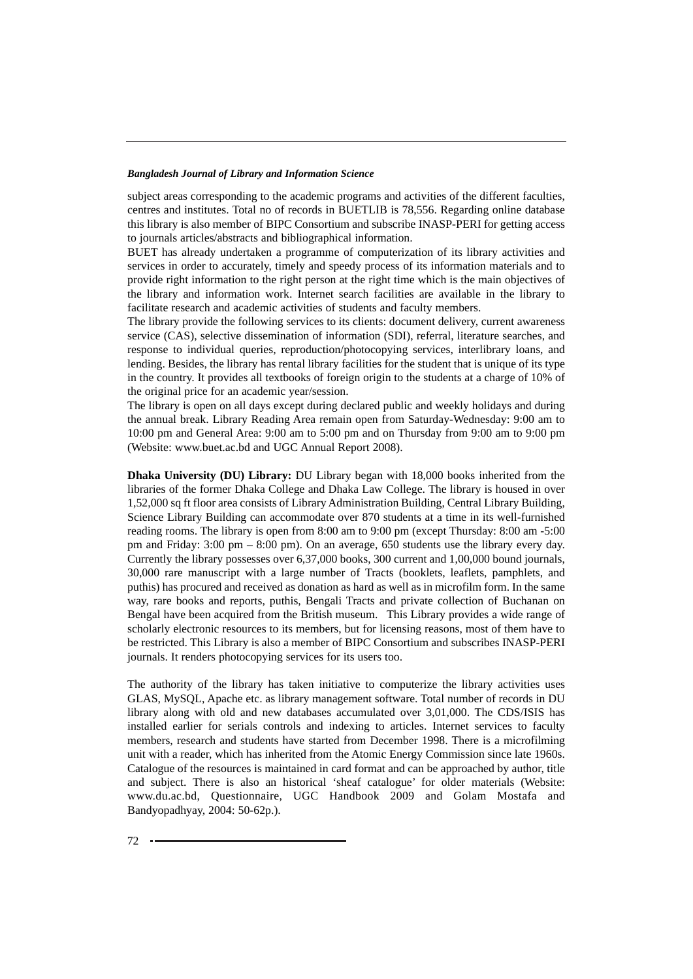subject areas corresponding to the academic programs and activities of the different faculties, centres and institutes. Total no of records in BUETLIB is 78,556. Regarding online database this library is also member of BIPC Consortium and subscribe INASP-PERI for getting access to journals articles/abstracts and bibliographical information.

BUET has already undertaken a programme of computerization of its library activities and services in order to accurately, timely and speedy process of its information materials and to provide right information to the right person at the right time which is the main objectives of the library and information work. Internet search facilities are available in the library to facilitate research and academic activities of students and faculty members.

The library provide the following services to its clients: document delivery, current awareness service (CAS), selective dissemination of information (SDI), referral, literature searches, and response to individual queries, reproduction/photocopying services, interlibrary loans, and lending. Besides, the library has rental library facilities for the student that is unique of its type in the country. It provides all textbooks of foreign origin to the students at a charge of 10% of the original price for an academic year/session.

The library is open on all days except during declared public and weekly holidays and during the annual break. Library Reading Area remain open from Saturday-Wednesday: 9:00 am to 10:00 pm and General Area: 9:00 am to 5:00 pm and on Thursday from 9:00 am to 9:00 pm (Website: www.buet.ac.bd and UGC Annual Report 2008).

**Dhaka University (DU) Library:** DU Library began with 18,000 books inherited from the libraries of the former Dhaka College and Dhaka Law College. The library is housed in over 1,52,000 sq ft floor area consists of Library Administration Building, Central Library Building, Science Library Building can accommodate over 870 students at a time in its well-furnished reading rooms. The library is open from 8:00 am to 9:00 pm (except Thursday: 8:00 am -5:00 pm and Friday: 3:00 pm – 8:00 pm). On an average, 650 students use the library every day. Currently the library possesses over 6,37,000 books, 300 current and 1,00,000 bound journals, 30,000 rare manuscript with a large number of Tracts (booklets, leaflets, pamphlets, and puthis) has procured and received as donation as hard as well as in microfilm form. In the same way, rare books and reports, puthis, Bengali Tracts and private collection of Buchanan on Bengal have been acquired from the British museum. This Library provides a wide range of scholarly electronic resources to its members, but for licensing reasons, most of them have to be restricted. This Library is also a member of BIPC Consortium and subscribes INASP-PERI journals. It renders photocopying services for its users too.

The authority of the library has taken initiative to computerize the library activities uses GLAS, MySQL, Apache etc. as library management software. Total number of records in DU library along with old and new databases accumulated over 3,01,000. The CDS/ISIS has installed earlier for serials controls and indexing to articles. Internet services to faculty members, research and students have started from December 1998. There is a microfilming unit with a reader, which has inherited from the Atomic Energy Commission since late 1960s. Catalogue of the resources is maintained in card format and can be approached by author, title and subject. There is also an historical 'sheaf catalogue' for older materials (Website: www.du.ac.bd, Questionnaire, UGC Handbook 2009 and Golam Mostafa and Bandyopadhyay, 2004: 50-62p.).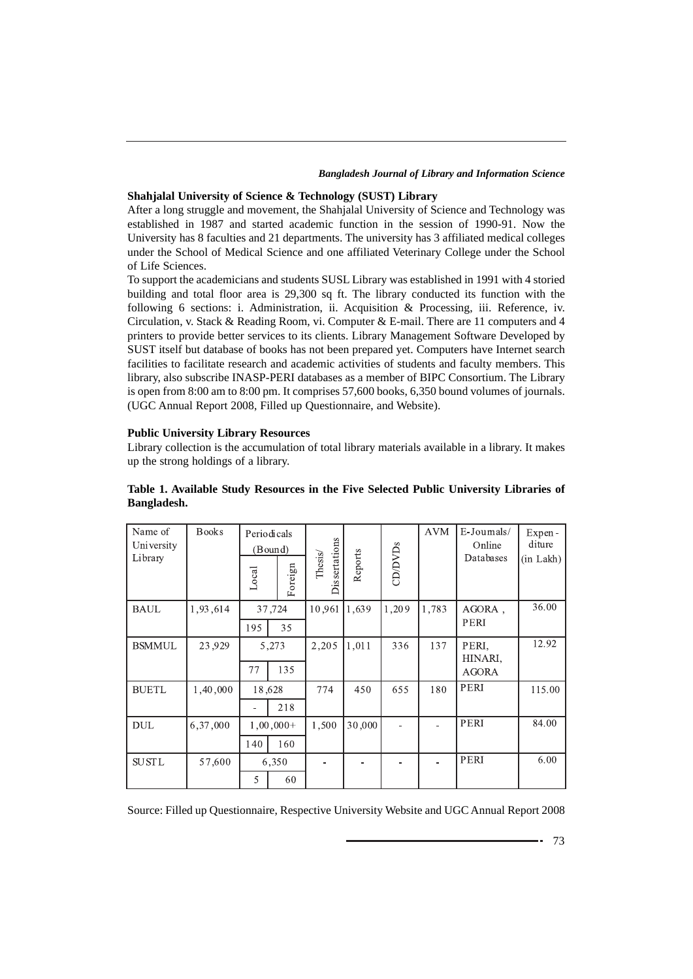### **Shahjalal University of Science & Technology (SUST) Library**

After a long struggle and movement, the Shahjalal University of Science and Technology was established in 1987 and started academic function in the session of 1990-91. Now the University has 8 faculties and 21 departments. The university has 3 affiliated medical colleges under the School of Medical Science and one affiliated Veterinary College under the School of Life Sciences.

To support the academicians and students SUSL Library was established in 1991 with 4 storied building and total floor area is 29,300 sq ft. The library conducted its function with the following 6 sections: i. Administration, ii. Acquisition & Processing, iii. Reference, iv. Circulation, v. Stack & Reading Room, vi. Computer & E-mail. There are 11 computers and 4 printers to provide better services to its clients. Library Management Software Developed by SUST itself but database of books has not been prepared yet. Computers have Internet search facilities to facilitate research and academic activities of students and faculty members. This library, also subscribe INASP-PERI databases as a member of BIPC Consortium. The Library is open from 8:00 am to 8:00 pm. It comprises 57,600 books, 6,350 bound volumes of journals. (UGC Annual Report 2008, Filled up Questionnaire, and Website).

#### **Public University Library Resources**

Library collection is the accumulation of total library materials available in a library. It makes up the strong holdings of a library.

| Name of<br>University<br>Library | <b>Books</b> | Local | Periodicals<br>(Bound)<br>Foreign | <b>Dissertations</b><br>Thesis/ | Reports | CD/DVDs | <b>AVM</b> | E-Journals/<br>Online<br>Databases | Expen-<br>diture<br>(in Lakh) |
|----------------------------------|--------------|-------|-----------------------------------|---------------------------------|---------|---------|------------|------------------------------------|-------------------------------|
| <b>BAUL</b>                      | 1,93,614     | 195   | 37,724<br>35                      | 10,961                          | 1,639   | 1,209   | 1,783      | AGORA,<br>PERI                     | 36.00                         |
| <b>BSMMUL</b>                    | 23.929       | 77    | 5,273<br>135                      | 2,205                           | 1,011   | 336     | 137        | PERI.<br>HINARI,<br><b>AGORA</b>   | 12.92                         |
| <b>BUETL</b>                     | 1,40,000     |       | 18,628<br>218                     | 774                             | 450     | 655     | 180        | PERI                               | 115.00                        |
| <b>DUL</b>                       | 6,37,000     | 140   | $1,00,000+$<br>160                | 1,500                           | 30,000  |         |            | PERI                               | 84.00                         |
| <b>SUSTL</b>                     | 57,600       | 5     | 6,350<br>60                       |                                 |         |         |            | PERI                               | 6.00                          |

# **Table 1. Available Study Resources in the Five Selected Public University Libraries of Bangladesh.**

Source: Filled up Questionnaire, Respective University Website and UGC Annual Report 2008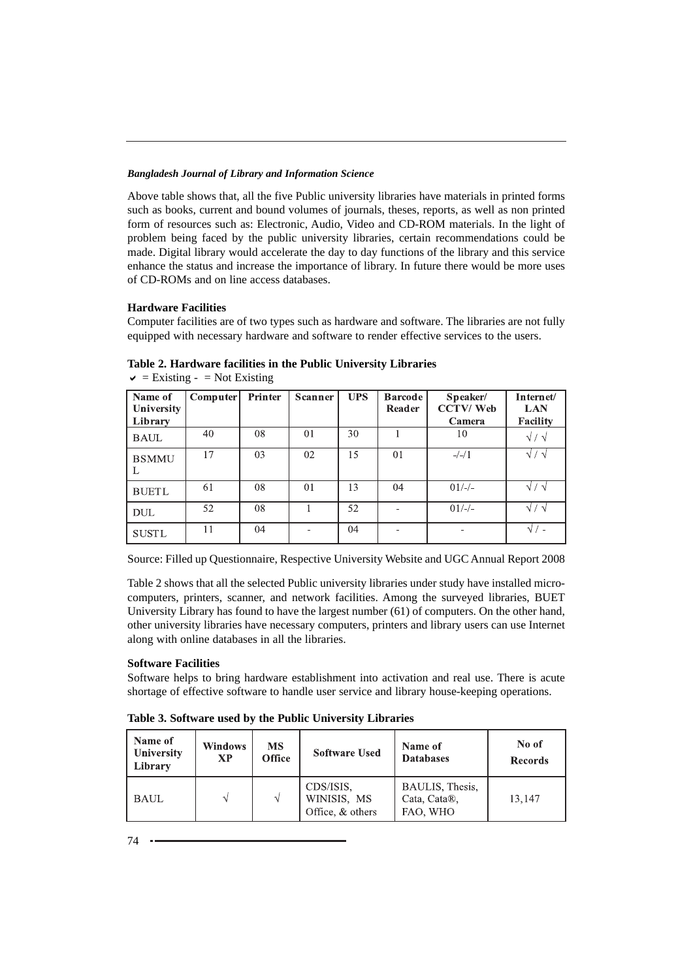Above table shows that, all the five Public university libraries have materials in printed forms such as books, current and bound volumes of journals, theses, reports, as well as non printed form of resources such as: Electronic, Audio, Video and CD-ROM materials. In the light of problem being faced by the public university libraries, certain recommendations could be made. Digital library would accelerate the day to day functions of the library and this service enhance the status and increase the importance of library. In future there would be more uses of CD-ROMs and on line access databases.

# **Hardware Facilities**

Computer facilities are of two types such as hardware and software. The libraries are not fully equipped with necessary hardware and software to render effective services to the users.

| Name of<br><b>University</b> | <b>Computer</b> | Printer | Scanner | <b>UPS</b> | <b>Barcode</b><br>Reader | Speaker/<br><b>CCTV/Web</b> | Internet/<br><b>LAN</b> |
|------------------------------|-----------------|---------|---------|------------|--------------------------|-----------------------------|-------------------------|
| Library                      |                 |         |         |            |                          | Camera                      | Facility                |
| <b>BAUL</b>                  | 40              | 08      | 01      | 30         |                          | 10                          | $\sqrt{2}$              |
| <b>BSMMU</b><br>Ι.           | 17              | 03      | 02      | 15         | 01                       | $-/-/1$                     | $\sqrt{7}$              |
| <b>BUETL</b>                 | 61              | 08      | 01      | 13         | 04                       | $01/-/$                     | $\sqrt{7}$              |
| <b>DUL</b>                   | 52              | 08      |         | 52         |                          | $01/-/$                     | $\sqrt{7}$              |
| <b>SUSTL</b>                 | 11              | 04      |         | 04         |                          | $\overline{\phantom{0}}$    | $\sqrt{1}$              |

**Table 2. Hardware facilities in the Public University Libraries**  $\vee$  = Existing - = Not Existing

Source: Filled up Questionnaire, Respective University Website and UGC Annual Report 2008

Table 2 shows that all the selected Public university libraries under study have installed microcomputers, printers, scanner, and network facilities. Among the surveyed libraries, BUET University Library has found to have the largest number (61) of computers. On the other hand, other university libraries have necessary computers, printers and library users can use Internet along with online databases in all the libraries.

# **Software Facilities**

Software helps to bring hardware establishment into activation and real use. There is acute shortage of effective software to handle user service and library house-keeping operations.

| Table 3. Software used by the Public University Libraries |  |  |  |  |  |  |
|-----------------------------------------------------------|--|--|--|--|--|--|
|-----------------------------------------------------------|--|--|--|--|--|--|

| Name of<br><b>University</b><br>Library | Windows<br><b>XP</b> | <b>MS</b><br><b>Office</b> | <b>Software Used</b>                         | Name of<br><b>Databases</b>                 | No of<br><b>Records</b> |
|-----------------------------------------|----------------------|----------------------------|----------------------------------------------|---------------------------------------------|-------------------------|
| <b>BAUL</b>                             | ٦I                   |                            | CDS/ISIS.<br>WINISIS, MS<br>Office, & others | BAULIS, Thesis,<br>Cata, Cata®,<br>FAO, WHO | 13.147                  |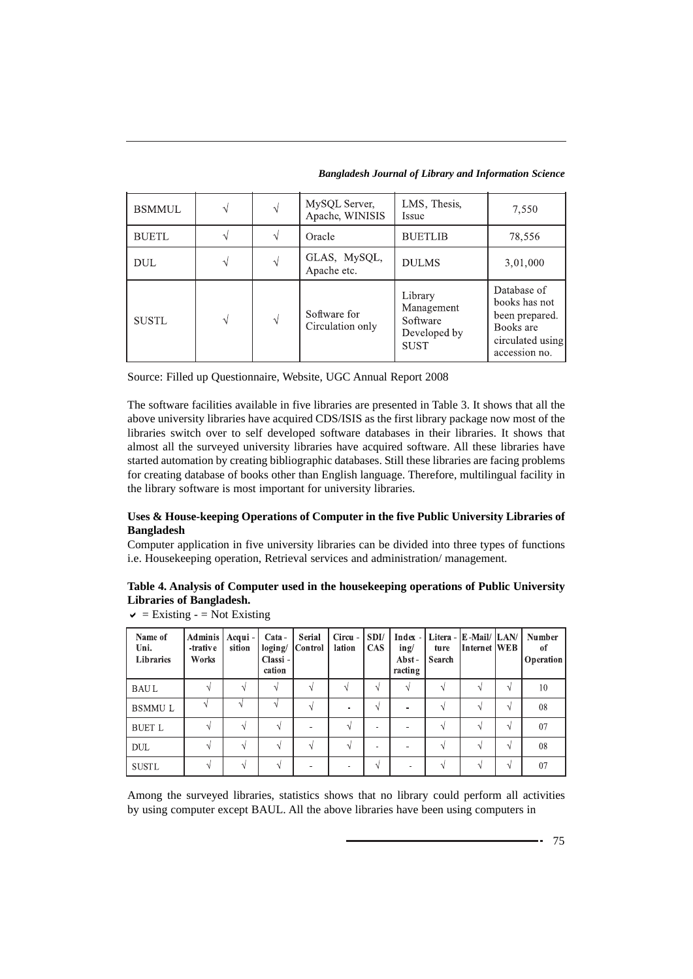*Bangladesh Journal of Library and Information Science*

| <b>BSMMUL</b> |                             |   | MySQL Server,<br>Apache, WINISIS | LMS, Thesis,<br>Issue                                            | 7,550                                                                                            |
|---------------|-----------------------------|---|----------------------------------|------------------------------------------------------------------|--------------------------------------------------------------------------------------------------|
| <b>BUETL</b>  |                             |   | <b>BUETLIB</b><br>Oracle         |                                                                  | 78,556                                                                                           |
| DUL           | GLAS, MySQL,<br>Apache etc. |   | <b>DULMS</b>                     | 3,01,000                                                         |                                                                                                  |
| <b>SUSTL</b>  |                             | V | Software for<br>Circulation only | Library<br>Management<br>Software<br>Developed by<br><b>SUST</b> | Database of<br>books has not<br>been prepared.<br>Books are<br>circulated using<br>accession no. |

Source: Filled up Questionnaire, Website, UGC Annual Report 2008

The software facilities available in five libraries are presented in Table 3. It shows that all the above university libraries have acquired CDS/ISIS as the first library package now most of the libraries switch over to self developed software databases in their libraries. It shows that almost all the surveyed university libraries have acquired software. All these libraries have started automation by creating bibliographic databases. Still these libraries are facing problems for creating database of books other than English language. Therefore, multilingual facility in the library software is most important for university libraries.

# **Uses & House-keeping Operations of Computer in the five Public University Libraries of Bangladesh**

Computer application in five university libraries can be divided into three types of functions i.e. Housekeeping operation, Retrieval services and administration/ management.

# **Table 4. Analysis of Computer used in the housekeeping operations of Public University Libraries of Bangladesh.**

| Name of<br>Uni.<br>Libraries | <b>Adminis</b><br>-trative<br>Works | Acqui-<br>sition | $Cata -$<br>loging/<br>Classi-<br>cation | Serial<br>Control | Circu -<br>lation | SDI/<br><b>CAS</b> | ing/<br>Abst-<br>racting | Index -   Litera -   E-Mail/   LAN/  <br>ture<br><b>Search</b> | Internet WEB |   | <b>Number</b><br>-of<br>Operation |
|------------------------------|-------------------------------------|------------------|------------------------------------------|-------------------|-------------------|--------------------|--------------------------|----------------------------------------------------------------|--------------|---|-----------------------------------|
| <b>BAUL</b>                  | V                                   | V                | N                                        | N                 |                   | $\Delta$           | N                        |                                                                | ٨I           | N | 10                                |
| <b>BSMMUL</b>                |                                     |                  | N                                        | N                 |                   | ٦I                 |                          |                                                                | N            | N | 08                                |
| <b>BUET L</b>                | $\sqrt{ }$                          | V                | V                                        |                   | V                 | -                  |                          |                                                                | N            | V | 07                                |
| <b>DUL</b>                   | V                                   | V                | V                                        | V                 | $\sqrt{ }$        | -                  |                          |                                                                | ٦I           | M | 08                                |
| <b>SUSTL</b>                 | V                                   | ν                | V                                        |                   |                   | N                  | -                        |                                                                | ٨I           | N | 07                                |

 $\vee$  = Existing - = Not Existing

Among the surveyed libraries, statistics shows that no library could perform all activities by using computer except BAUL. All the above libraries have been using computers in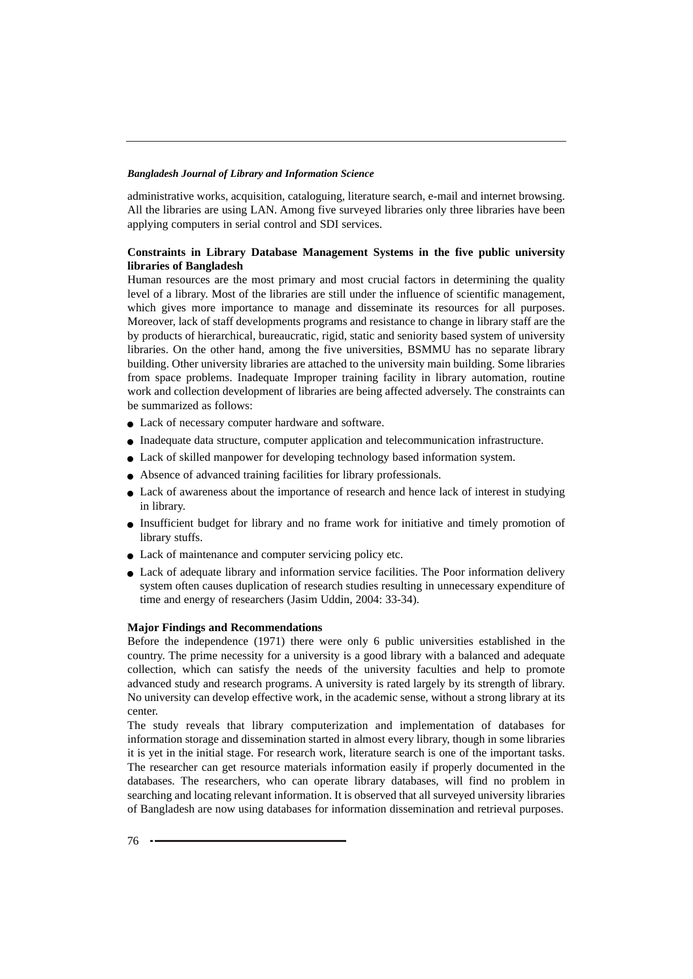administrative works, acquisition, cataloguing, literature search, e-mail and internet browsing. All the libraries are using LAN. Among five surveyed libraries only three libraries have been applying computers in serial control and SDI services.

# **Constraints in Library Database Management Systems in the five public university libraries of Bangladesh**

Human resources are the most primary and most crucial factors in determining the quality level of a library. Most of the libraries are still under the influence of scientific management, which gives more importance to manage and disseminate its resources for all purposes. Moreover, lack of staff developments programs and resistance to change in library staff are the by products of hierarchical, bureaucratic, rigid, static and seniority based system of university libraries. On the other hand, among the five universities, BSMMU has no separate library building. Other university libraries are attached to the university main building. Some libraries from space problems. Inadequate Improper training facility in library automation, routine work and collection development of libraries are being affected adversely. The constraints can be summarized as follows:

- Lack of necessary computer hardware and software.
- Inadequate data structure, computer application and telecommunication infrastructure.
- Lack of skilled manpower for developing technology based information system.
- Absence of advanced training facilities for library professionals.
- Lack of awareness about the importance of research and hence lack of interest in studying in library.
- Insufficient budget for library and no frame work for initiative and timely promotion of library stuffs.
- Lack of maintenance and computer servicing policy etc.
- Lack of adequate library and information service facilities. The Poor information delivery system often causes duplication of research studies resulting in unnecessary expenditure of time and energy of researchers (Jasim Uddin, 2004: 33-34).

### **Major Findings and Recommendations**

Before the independence (1971) there were only 6 public universities established in the country. The prime necessity for a university is a good library with a balanced and adequate collection, which can satisfy the needs of the university faculties and help to promote advanced study and research programs. A university is rated largely by its strength of library. No university can develop effective work, in the academic sense, without a strong library at its center.

The study reveals that library computerization and implementation of databases for information storage and dissemination started in almost every library, though in some libraries it is yet in the initial stage. For research work, literature search is one of the important tasks. The researcher can get resource materials information easily if properly documented in the databases. The researchers, who can operate library databases, will find no problem in searching and locating relevant information. It is observed that all surveyed university libraries of Bangladesh are now using databases for information dissemination and retrieval purposes.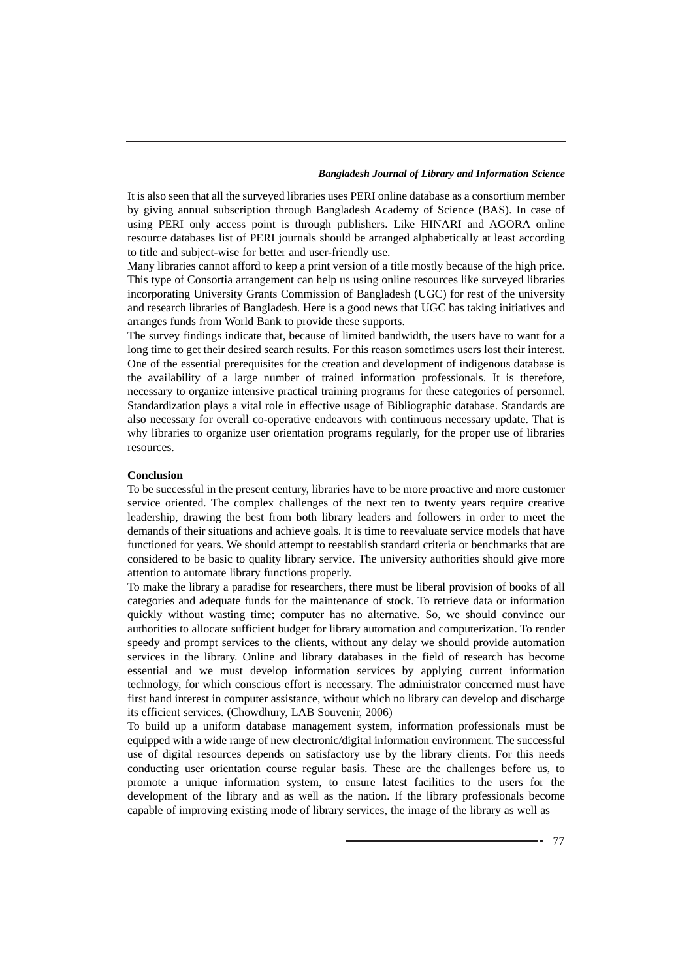It is also seen that all the surveyed libraries uses PERI online database as a consortium member by giving annual subscription through Bangladesh Academy of Science (BAS). In case of using PERI only access point is through publishers. Like HINARI and AGORA online resource databases list of PERI journals should be arranged alphabetically at least according to title and subject-wise for better and user-friendly use.

Many libraries cannot afford to keep a print version of a title mostly because of the high price. This type of Consortia arrangement can help us using online resources like surveyed libraries incorporating University Grants Commission of Bangladesh (UGC) for rest of the university and research libraries of Bangladesh. Here is a good news that UGC has taking initiatives and arranges funds from World Bank to provide these supports.

The survey findings indicate that, because of limited bandwidth, the users have to want for a long time to get their desired search results. For this reason sometimes users lost their interest. One of the essential prerequisites for the creation and development of indigenous database is the availability of a large number of trained information professionals. It is therefore, necessary to organize intensive practical training programs for these categories of personnel. Standardization plays a vital role in effective usage of Bibliographic database. Standards are also necessary for overall co-operative endeavors with continuous necessary update. That is why libraries to organize user orientation programs regularly, for the proper use of libraries resources.

### **Conclusion**

To be successful in the present century, libraries have to be more proactive and more customer service oriented. The complex challenges of the next ten to twenty years require creative leadership, drawing the best from both library leaders and followers in order to meet the demands of their situations and achieve goals. It is time to reevaluate service models that have functioned for years. We should attempt to reestablish standard criteria or benchmarks that are considered to be basic to quality library service. The university authorities should give more attention to automate library functions properly.

To make the library a paradise for researchers, there must be liberal provision of books of all categories and adequate funds for the maintenance of stock. To retrieve data or information quickly without wasting time; computer has no alternative. So, we should convince our authorities to allocate sufficient budget for library automation and computerization. To render speedy and prompt services to the clients, without any delay we should provide automation services in the library. Online and library databases in the field of research has become essential and we must develop information services by applying current information technology, for which conscious effort is necessary. The administrator concerned must have first hand interest in computer assistance, without which no library can develop and discharge its efficient services. (Chowdhury, LAB Souvenir, 2006)

To build up a uniform database management system, information professionals must be equipped with a wide range of new electronic/digital information environment. The successful use of digital resources depends on satisfactory use by the library clients. For this needs conducting user orientation course regular basis. These are the challenges before us, to promote a unique information system, to ensure latest facilities to the users for the development of the library and as well as the nation. If the library professionals become capable of improving existing mode of library services, the image of the library as well as

- 77